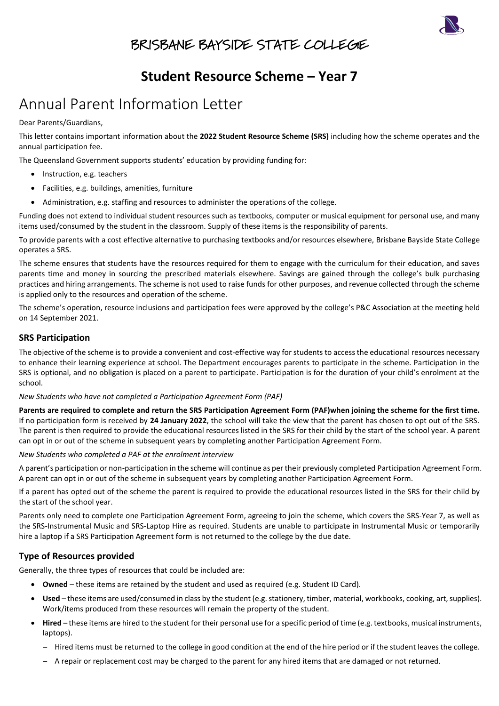

## BRISBANE BAYSIDE STATE COLLEGE

### **Student Resource Scheme – Year 7**

# Annual Parent Information Letter

Dear Parents/Guardians,

This letter contains important information about the **2022 Student Resource Scheme (SRS)** including how the scheme operates and the annual participation fee.

The Queensland Government supports students' education by providing funding for:

- Instruction, e.g. teachers
- Facilities, e.g. buildings, amenities, furniture
- Administration, e.g. staffing and resources to administer the operations of the college.

Funding does not extend to individual student resources such as textbooks, computer or musical equipment for personal use, and many items used/consumed by the student in the classroom. Supply of these items is the responsibility of parents.

To provide parents with a cost effective alternative to purchasing textbooks and/or resources elsewhere, Brisbane Bayside State College operates a SRS.

The scheme ensures that students have the resources required for them to engage with the curriculum for their education, and saves parents time and money in sourcing the prescribed materials elsewhere. Savings are gained through the college's bulk purchasing practices and hiring arrangements. The scheme is not used to raise funds for other purposes, and revenue collected through the scheme is applied only to the resources and operation of the scheme.

The scheme's operation, resource inclusions and participation fees were approved by the college's P&C Association at the meeting held on 14 September 2021.

#### **SRS Participation**

The objective of the scheme is to provide a convenient and cost-effective way for students to access the educational resources necessary to enhance their learning experience at school. The Department encourages parents to participate in the scheme. Participation in the SRS is optional, and no obligation is placed on a parent to participate. Participation is for the duration of your child's enrolment at the school.

*New Students who have not completed a Participation Agreement Form (PAF)*

**Parents are required to complete and return the SRS Participation Agreement Form (PAF)when joining the scheme for the first time.** If no participation form is received by **24 January 2022**, the school will take the view that the parent has chosen to opt out of the SRS. The parent is then required to provide the educational resources listed in the SRS for their child by the start of the school year. A parent can opt in or out of the scheme in subsequent years by completing another Participation Agreement Form.

*New Students who completed a PAF at the enrolment interview*

A parent's participation or non-participation in the scheme will continue as per their previously completed Participation Agreement Form. A parent can opt in or out of the scheme in subsequent years by completing another Participation Agreement Form.

If a parent has opted out of the scheme the parent is required to provide the educational resources listed in the SRS for their child by the start of the school year.

Parents only need to complete one Participation Agreement Form, agreeing to join the scheme, which covers the SRS-Year 7, as well as the SRS-Instrumental Music and SRS-Laptop Hire as required. Students are unable to participate in Instrumental Music or temporarily hire a laptop if a SRS Participation Agreement form is not returned to the college by the due date.

### **Type of Resources provided**

Generally, the three types of resources that could be included are:

- **Owned** these items are retained by the student and used as required (e.g. Student ID Card).
- **Used**  these items are used/consumed in class by the student (e.g. stationery, timber, material, workbooks, cooking, art, supplies). Work/items produced from these resources will remain the property of the student.
- **Hired**  these items are hired to the student for their personal use for a specific period of time (e.g. textbooks, musical instruments, laptops).
	- − Hired items must be returned to the college in good condition at the end of the hire period or if the student leaves the college.
	- − A repair or replacement cost may be charged to the parent for any hired items that are damaged or not returned.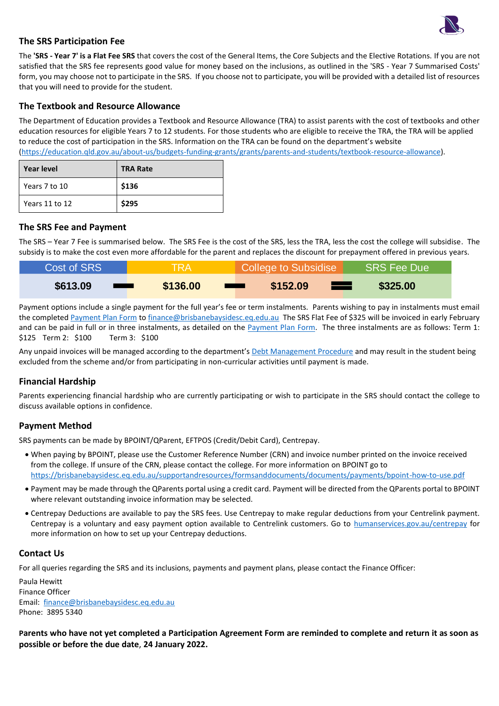

#### **The SRS Participation Fee**

The **'SRS - Year 7' is a Flat Fee SRS** that covers the cost of the General Items, the Core Subjects and the Elective Rotations. If you are not satisfied that the SRS fee represents good value for money based on the inclusions, as outlined in the 'SRS - Year 7 Summarised Costs' form, you may choose not to participate in the SRS. If you choose not to participate, you will be provided with a detailed list of resources that you will need to provide for the student.

#### **The Textbook and Resource Allowance**

The Department of Education provides a Textbook and Resource Allowance (TRA) to assist parents with the cost of textbooks and other education resources for eligible Years 7 to 12 students. For those students who are eligible to receive the TRA, the TRA will be applied to reduce the cost of participation in the SRS. Information on the TRA can be found on the department's website [\(https://education.qld.gov.au/about-us/budgets-funding-grants/grants/parents-and-students/textbook-resource-allowance\)](https://education.qld.gov.au/about-us/budgets-funding-grants/grants/parents-and-students/textbook-resource-allowance).

| <b>Year level</b> | <b>TRA Rate</b> |
|-------------------|-----------------|
| Years 7 to 10     | \$136           |
| Years 11 to 12    | \$295           |

#### **The SRS Fee and Payment**

The SRS – Year 7 Fee is summarised below. The SRS Fee is the cost of the SRS, less the TRA, less the cost the college will subsidise. The subsidy is to make the cost even more affordable for the parent and replaces the discount for prepayment offered in previous years.

| Cost of SRS <sup>1</sup> | <b>TRA</b>                     | College to Subsidise            | SRS Fee Due |
|--------------------------|--------------------------------|---------------------------------|-------------|
| \$613.09                 | \$136.00<br><u> Albanya da</u> | \$152.09<br><u> a shekara t</u> | \$325.00    |

Payment options include a single payment for the full year's fee or term instalments. Parents wishing to pay in instalments must email the completed [Payment Plan Form](https://brisbanebaysidesc.eq.edu.au/supportandresources/formsanddocuments/documents/payments/payment-plan.pdf) to [finance@brisbanebaysidesc.eq.edu.au](mailto:finance@brisbanebaysidesc.eq.edu.au) The SRS Flat Fee of \$325 will be invoiced in early February and can be paid in full or in three instalments, as detailed on the **Payment Plan Form.** The three instalments are as follows: Term 1: \$125 Term 2: \$100 Term 3: \$100

Any unpaid invoices will be managed according to the department's [Debt Management Procedure](https://ppr.qed.qld.gov.au/pp/debt-management-procedure) and may result in the student being excluded from the scheme and/or from participating in non-curricular activities until payment is made.

#### **Financial Hardship**

Parents experiencing financial hardship who are currently participating or wish to participate in the SRS should contact the college to discuss available options in confidence.

#### **Payment Method**

SRS payments can be made by BPOINT/QParent, EFTPOS (Credit/Debit Card), Centrepay.

- When paying by BPOINT, please use the Customer Reference Number (CRN) and invoice number printed on the invoice received from the college. If unsure of the CRN, please contact the college. For more information on BPOINT go to [https://brisbanebaysidesc.eq.edu.au/supportandresources/formsanddocuments/documents/payments/bpoint-how-to-use.pdf](https://brisbanebaysidesc.eq.edu.au/supportandresources/formsanddocuments/documents/payments/bpoint-how-to.pdf)
- Payment may be made through the QParents portal using a credit card. Payment will be directed from the QParents portal to BPOINT where relevant outstanding invoice information may be selected.
- Centrepay Deductions are available to pay the SRS fees. Use Centrepay to make regular deductions from your Centrelink payment. Centrepay is a voluntary and easy payment option available to Centrelink customers. Go to [humanservices.gov.au/centrepay](https://www.humanservices.gov.au/individuals/services/centrelink/centrepay) for more information on how to set up your Centrepay deductions.

#### **Contact Us**

For all queries regarding the SRS and its inclusions, payments and payment plans, please contact the Finance Officer:

Paula Hewitt Finance Officer Email: [finance@brisbanebaysidesc.eq.edu.au](mailto:finance@brisbanebaysidesc.eq.edu.au?subject=SRS%20-%20Payment/Payment%20Plan%20Query) Phone: 3895 5340

**Parents who have not yet completed a Participation Agreement Form are reminded to complete and return it as soon as possible or before the due date**, **24 January 2022.**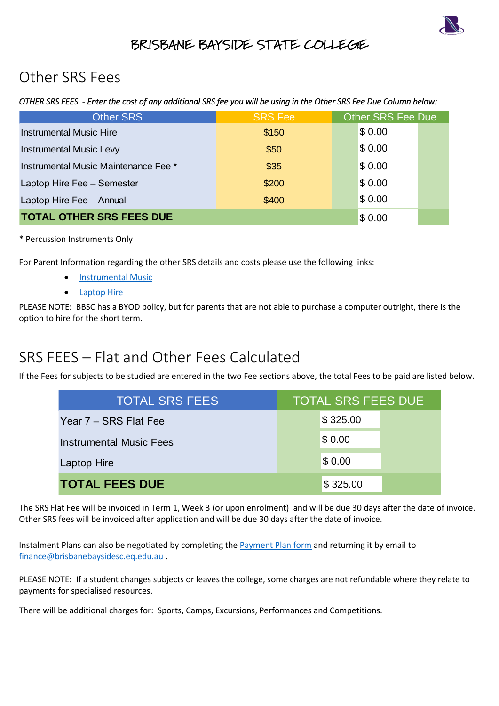

## BRISBANE BAYSIDE STATE COLLEGE

# Other SRS Fees

### *OTHER SRS FEES - Enter the cost of any additional SRS fee you will be using in the Other SRS Fee Due Column below:*

| <b>Other SRS</b>                     | <b>SRS Fee</b> | <b>Other SRS Fee Due</b> |        |  |
|--------------------------------------|----------------|--------------------------|--------|--|
| <b>Instrumental Music Hire</b>       | \$150          |                          | \$0.00 |  |
| <b>Instrumental Music Levy</b>       | \$50           |                          | \$0.00 |  |
| Instrumental Music Maintenance Fee * | \$35           |                          | \$0.00 |  |
| Laptop Hire Fee - Semester           | \$200          |                          | \$0.00 |  |
| Laptop Hire Fee - Annual             | \$400          |                          | \$0.00 |  |
| <b>TOTAL OTHER SRS FEES DUE</b>      |                |                          | \$0.00 |  |

### \* Percussion Instruments Only

For Parent Information regarding the other SRS details and costs please use the following links:

- [Instrumental Music](https://brisbanebaysidesc.eq.edu.au/SupportAndResources/FormsAndDocuments/Documents/Student-resource-scheme/instrumental-music-scheme-parent-information-letter.pdf)
- **[Laptop Hire](https://brisbanebaysidesc.eq.edu.au/SupportAndResources/FormsAndDocuments/Documents/Student-resource-scheme/laptop-hire-scheme-parent-information-letter.pdf)**

PLEASE NOTE: BBSC has a BYOD policy, but for parents that are not able to purchase a computer outright, there is the option to hire for the short term.

# SRS FEES – Flat and Other Fees Calculated

If the Fees for subjects to be studied are entered in the two Fee sections above, the total Fees to be paid are listed below.

| <b>OTHER SRS FEES DUE</b>                                                                                                                           | \$0.00                    |  |
|-----------------------------------------------------------------------------------------------------------------------------------------------------|---------------------------|--|
| on Instruments Only                                                                                                                                 |                           |  |
| t Information regarding the other SRS details and costs please use the following links:<br><b>Instrumental Music</b><br><b>Laptop Hire</b>          |                           |  |
| OTE: BBSC has a BYOD policy, but for parents that are not able to purchase a computer outright, there i<br>hire for the short term.                 |                           |  |
| EES – Flat and Other Fees Calculated<br>s for subjects to be studied are entered in the two Fee sections above, the total Fees to be paid are liste |                           |  |
| <b>TOTAL SRS FEES</b>                                                                                                                               | <b>TOTAL SRS FEES DUE</b> |  |
| Year 7 – SRS Flat Fee                                                                                                                               | \$325.00                  |  |
| <b>Instrumental Music Fees</b>                                                                                                                      | \$0.00                    |  |
| Laptop Hire                                                                                                                                         | \$0.00                    |  |
| <b>TOTAL FEES DUE</b>                                                                                                                               | \$325.00                  |  |

The SRS Flat Fee will be invoiced in Term 1, Week 3 (or upon enrolment) and will be due 30 days after the date of invoice. Other SRS fees will be invoiced after application and will be due 30 days after the date of invoice.

Instalment Plans can also be negotiated by completing the [Payment Plan form](https://brisbanebaysidesc.eq.edu.au/supportandresources/formsanddocuments/documents/payments/payment-plan.pdf) and returning it by email to [finance@brisbanebaysidesc.eq.edu.au](mailto:finance@brisbanebaysidesc.eq.edu.au?subject=SRS%20-%20Payment/Payment%20Plan%20Query) .

PLEASE NOTE: If a student changes subjects or leaves the college, some charges are not refundable where they relate to payments for specialised resources.

There will be additional charges for: Sports, Camps, Excursions, Performances and Competitions.